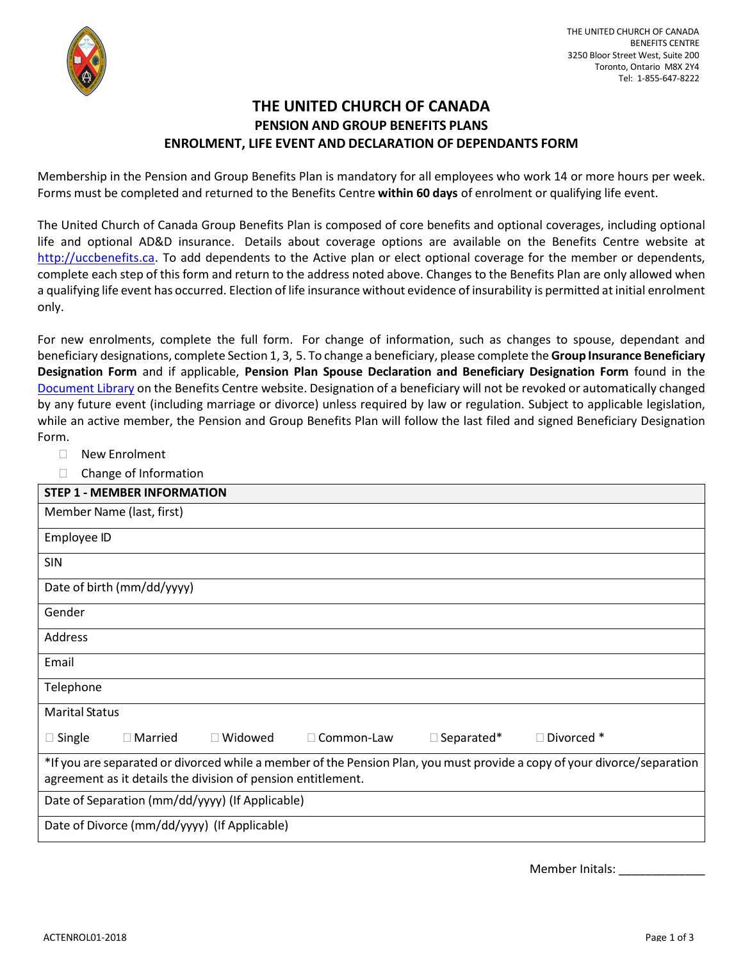

## **THE UNITED CHURCH OF CANADA PENSION AND GROUP BENEFITS PLANS ENROLMENT, LIFE EVENT AND DECLARATION OF DEPENDANTS FORM**

Membership in the Pension and Group Benefits Plan is mandatory for all employees who work 14 or more hours per week. Forms must be completed and returned to the Benefits Centre **within 60 days** of enrolment or qualifying life event.

The United Church of Canada Group Benefits Plan is composed of core benefits and optional coverages, including optional life and optional AD&D insurance. Details about coverage options are available on the Benefits Centre website at [http://uccbenefits.ca.](http://uccbenefits.ca/) To add dependents to the Active plan or elect optional coverage for the member or dependents, complete each step of this form and return to the address noted above. Changes to the Benefits Plan are only allowed when a qualifying life event has occurred. Election of life insurance without evidence of insurability is permitted at initial enrolment only.

For new enrolments, complete the full form. For change of information, such as changes to spouse, dependant and beneficiary designations, complete Section 1, 3, 5. To change a beneficiary, please complete the **Group Insurance Beneficiary Designation Form** and if applicable, **Pension Plan Spouse Declaration and Beneficiary Designation Form** found in the [Document Library](https://uccbenefits.ca/document-library/) on the Benefits Centre website. Designation of a beneficiary will not be revoked or automatically changed by any future event (including marriage or divorce) unless required by law or regulation. Subject to applicable legislation, while an active member, the Pension and Group Benefits Plan will follow the last filed and signed Beneficiary Designation Form.

- □ New Enrolment
- $\Box$  Change of Information

| <b>STEP 1 - MEMBER INFORMATION</b>                                                                                       |  |  |  |  |  |  |  |
|--------------------------------------------------------------------------------------------------------------------------|--|--|--|--|--|--|--|
| Member Name (last, first)                                                                                                |  |  |  |  |  |  |  |
| Employee ID                                                                                                              |  |  |  |  |  |  |  |
| <b>SIN</b>                                                                                                               |  |  |  |  |  |  |  |
| Date of birth (mm/dd/yyyy)                                                                                               |  |  |  |  |  |  |  |
| Gender                                                                                                                   |  |  |  |  |  |  |  |
| Address                                                                                                                  |  |  |  |  |  |  |  |
| Email                                                                                                                    |  |  |  |  |  |  |  |
| Telephone                                                                                                                |  |  |  |  |  |  |  |
| <b>Marital Status</b>                                                                                                    |  |  |  |  |  |  |  |
| □ Divorced *<br>$\Box$ Widowed<br>$\Box$ Separated*<br>$\square$ Single<br>□ Common-Law<br>$\Box$ Married                |  |  |  |  |  |  |  |
| *If you are separated or divorced while a member of the Pension Plan, you must provide a copy of your divorce/separation |  |  |  |  |  |  |  |
| agreement as it details the division of pension entitlement.                                                             |  |  |  |  |  |  |  |
| Date of Separation (mm/dd/yyyy) (If Applicable)                                                                          |  |  |  |  |  |  |  |
| Date of Divorce (mm/dd/yyyy) (If Applicable)                                                                             |  |  |  |  |  |  |  |

Member Initals: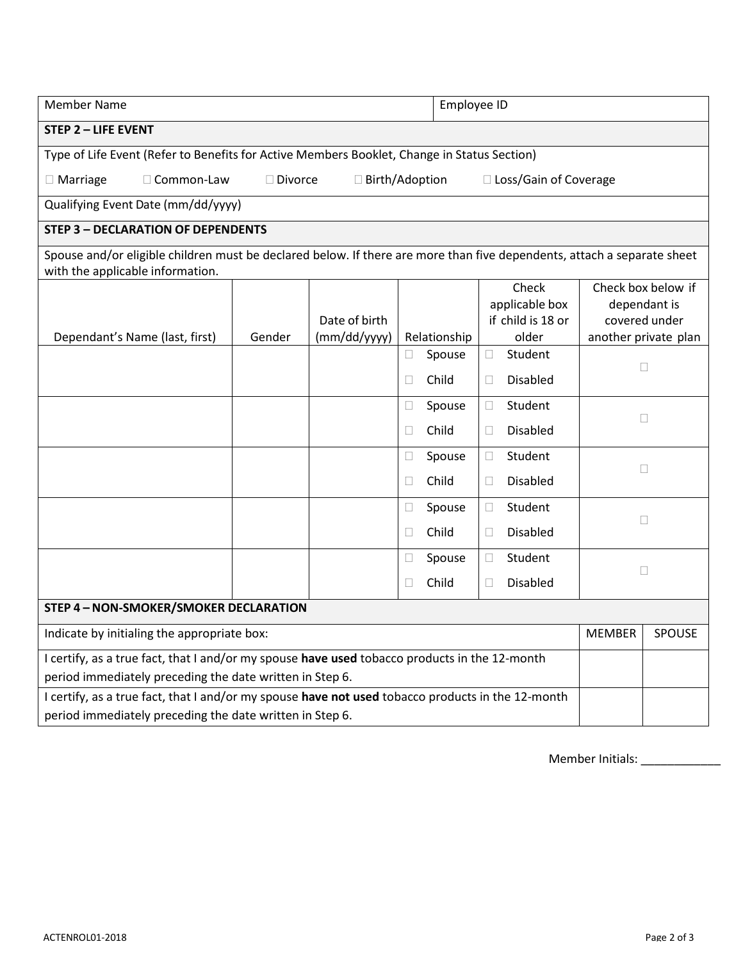| <b>Member Name</b>                                                                                                                                            |        |               |   |              | Employee ID                         |                               |        |  |  |
|---------------------------------------------------------------------------------------------------------------------------------------------------------------|--------|---------------|---|--------------|-------------------------------------|-------------------------------|--------|--|--|
| <b>STEP 2 - LIFE EVENT</b>                                                                                                                                    |        |               |   |              |                                     |                               |        |  |  |
| Type of Life Event (Refer to Benefits for Active Members Booklet, Change in Status Section)                                                                   |        |               |   |              |                                     |                               |        |  |  |
| $\Box$ Birth/Adoption<br>□ Loss/Gain of Coverage<br>$\Box$ Marriage<br>□ Common-Law<br>□ Divorce                                                              |        |               |   |              |                                     |                               |        |  |  |
| Qualifying Event Date (mm/dd/yyyy)                                                                                                                            |        |               |   |              |                                     |                               |        |  |  |
| <b>STEP 3 - DECLARATION OF DEPENDENTS</b>                                                                                                                     |        |               |   |              |                                     |                               |        |  |  |
| Spouse and/or eligible children must be declared below. If there are more than five dependents, attach a separate sheet<br>with the applicable information.   |        |               |   |              |                                     |                               |        |  |  |
|                                                                                                                                                               |        |               |   | Check        |                                     | Check box below if            |        |  |  |
|                                                                                                                                                               |        | Date of birth |   |              | applicable box<br>if child is 18 or | dependant is<br>covered under |        |  |  |
| Dependant's Name (last, first)                                                                                                                                | Gender | (mm/dd/yyyy)  |   | Relationship | older                               | another private plan          |        |  |  |
|                                                                                                                                                               |        |               |   | Spouse       | Student<br>$\Box$                   |                               |        |  |  |
|                                                                                                                                                               |        |               |   | Child        | <b>Disabled</b><br>$\mathbb{R}^n$   |                               | $\Box$ |  |  |
|                                                                                                                                                               |        |               |   | Spouse       | Student<br>$\Box$                   |                               |        |  |  |
|                                                                                                                                                               |        |               |   | Child        | <b>Disabled</b><br>$\Box$           | Ш                             |        |  |  |
|                                                                                                                                                               |        |               |   | Spouse       | Student<br>$\Box$                   |                               |        |  |  |
|                                                                                                                                                               |        |               |   | Child        | <b>Disabled</b><br>$\mathbb{R}^n$   | □                             |        |  |  |
|                                                                                                                                                               |        |               |   | Spouse       | Student<br>$\Box$                   | Ш                             |        |  |  |
|                                                                                                                                                               |        |               |   | Child        | <b>Disabled</b><br>$\Box$           |                               |        |  |  |
|                                                                                                                                                               |        |               |   | Spouse       | Student<br>$\Box$                   |                               |        |  |  |
|                                                                                                                                                               |        |               | □ | Child        | <b>Disabled</b><br>$\Box$           | $\Box$                        |        |  |  |
| STEP 4 - NON-SMOKER/SMOKER DECLARATION                                                                                                                        |        |               |   |              |                                     |                               |        |  |  |
| Indicate by initialing the appropriate box:                                                                                                                   |        |               |   |              |                                     | <b>MEMBER</b>                 | SPOUSE |  |  |
| I certify, as a true fact, that I and/or my spouse have used tobacco products in the 12-month<br>period immediately preceding the date written in Step 6.     |        |               |   |              |                                     |                               |        |  |  |
| I certify, as a true fact, that I and/or my spouse have not used tobacco products in the 12-month<br>period immediately preceding the date written in Step 6. |        |               |   |              |                                     |                               |        |  |  |

Member Initials: \_\_\_\_\_\_\_\_\_\_\_\_